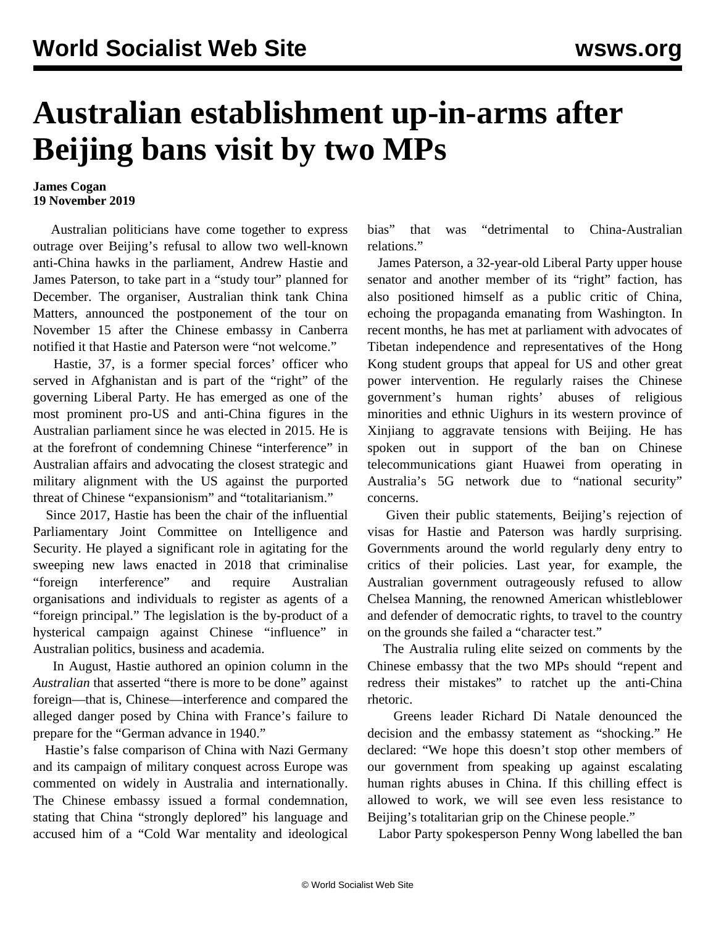## **Australian establishment up-in-arms after Beijing bans visit by two MPs**

## **James Cogan 19 November 2019**

 Australian politicians have come together to express outrage over Beijing's refusal to allow two well-known anti-China hawks in the parliament, Andrew Hastie and James Paterson, to take part in a "study tour" planned for December. The organiser, Australian think tank China Matters, announced the postponement of the tour on November 15 after the Chinese embassy in Canberra notified it that Hastie and Paterson were "not welcome."

 Hastie, 37, is a former special forces' officer who served in Afghanistan and is part of the "right" of the governing Liberal Party. He has emerged as one of the most prominent pro-US and anti-China figures in the Australian parliament since he was elected in 2015. He is at the forefront of condemning Chinese "interference" in Australian affairs and advocating the closest strategic and military alignment with the US against the purported threat of Chinese "expansionism" and "totalitarianism."

 Since 2017, Hastie has been the chair of the influential Parliamentary Joint Committee on Intelligence and Security. He played a significant role in agitating for the sweeping new laws enacted in 2018 that criminalise "foreign interference" and require Australian organisations and individuals to register as agents of a "foreign principal." The legislation is the by-product of a hysterical campaign against Chinese "influence" in Australian politics, business and academia.

 In August, Hastie authored an opinion column in the *Australian* that asserted "there is more to be done" against foreign—that is, Chinese—interference and compared the alleged danger posed by China with France's failure to prepare for the "German advance in 1940."

 Hastie's false comparison of China with Nazi Germany and its campaign of military conquest across Europe was commented on widely in Australia and internationally. The Chinese embassy issued a formal condemnation, stating that China "strongly deplored" his language and accused him of a "Cold War mentality and ideological

bias" that was "detrimental to China-Australian relations."

 James Paterson, a 32-year-old Liberal Party upper house senator and another member of its "right" faction, has also positioned himself as a public critic of China, echoing the propaganda emanating from Washington. In recent months, he has met at parliament with advocates of Tibetan independence and representatives of the Hong Kong student groups that appeal for US and other great power intervention. He regularly raises the Chinese government's human rights' abuses of religious minorities and ethnic Uighurs in its western province of Xinjiang to aggravate tensions with Beijing. He has spoken out in support of the ban on Chinese telecommunications giant Huawei from operating in Australia's 5G network due to "national security" concerns.

 Given their public statements, Beijing's rejection of visas for Hastie and Paterson was hardly surprising. Governments around the world regularly deny entry to critics of their policies. Last year, for example, the Australian government outrageously refused to allow Chelsea Manning, the renowned American whistleblower and defender of democratic rights, to travel to the country on the grounds she failed a "character test."

 The Australia ruling elite seized on comments by the Chinese embassy that the two MPs should "repent and redress their mistakes" to ratchet up the anti-China rhetoric.

 Greens leader Richard Di Natale denounced the decision and the embassy statement as "shocking." He declared: "We hope this doesn't stop other members of our government from speaking up against escalating human rights abuses in China. If this chilling effect is allowed to work, we will see even less resistance to Beijing's totalitarian grip on the Chinese people."

Labor Party spokesperson Penny Wong labelled the ban